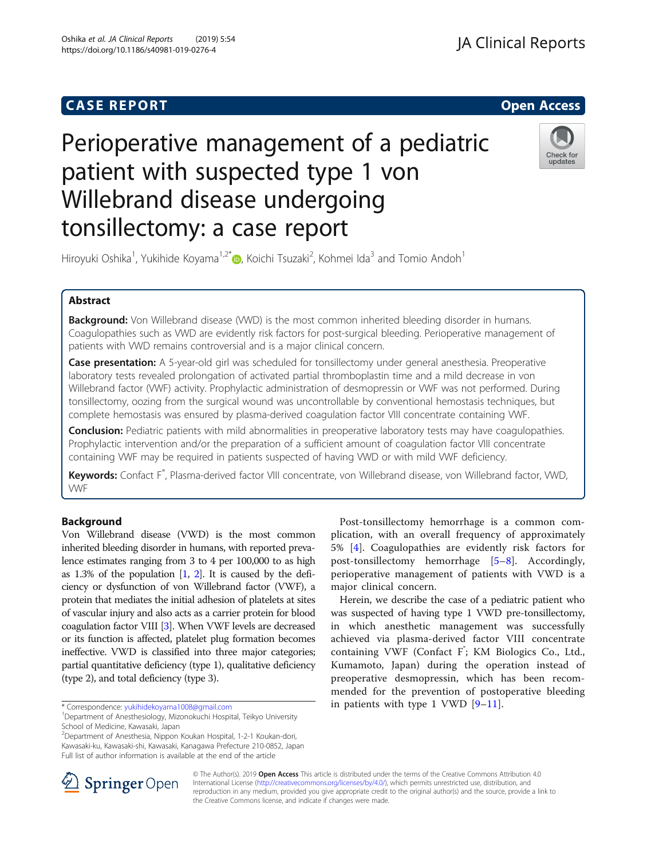## **CASE REPORT And SERVICE SERVICE SERVICE SERVICE SERVICE SERVICE SERVICE SERVICE SERVICE SERVICE SERVICE SERVICE**



# Perioperative management of a pediatric patient with suspected type 1 von Willebrand disease undergoing tonsillectomy: a case report



Hiroyuki Oshika<sup>1</sup>, Yukihide Koyama<sup>1,2\*</sup>®, Koichi Tsuzaki<sup>2</sup>, Kohmei Ida<sup>3</sup> and Tomio Andoh<sup>1</sup>

## Abstract

Background: Von Willebrand disease (VWD) is the most common inherited bleeding disorder in humans. Coagulopathies such as VWD are evidently risk factors for post-surgical bleeding. Perioperative management of patients with VWD remains controversial and is a major clinical concern.

**Case presentation:** A 5-year-old girl was scheduled for tonsillectomy under general anesthesia. Preoperative laboratory tests revealed prolongation of activated partial thromboplastin time and a mild decrease in von Willebrand factor (VWF) activity. Prophylactic administration of desmopressin or VWF was not performed. During tonsillectomy, oozing from the surgical wound was uncontrollable by conventional hemostasis techniques, but complete hemostasis was ensured by plasma-derived coagulation factor VIII concentrate containing VWF.

Conclusion: Pediatric patients with mild abnormalities in preoperative laboratory tests may have coagulopathies. Prophylactic intervention and/or the preparation of a sufficient amount of coagulation factor VIII concentrate containing VWF may be required in patients suspected of having VWD or with mild VWF deficiency.

Keywords: Confact F<sup>®</sup>, Plasma-derived factor VIII concentrate, von Willebrand disease, von Willebrand factor, VWD, VWF

### Background

Von Willebrand disease (VWD) is the most common inherited bleeding disorder in humans, with reported prevalence estimates ranging from 3 to 4 per 100,000 to as high as  $1.3\%$  of the population  $[1, 2]$  $[1, 2]$  $[1, 2]$  $[1, 2]$ . It is caused by the deficiency or dysfunction of von Willebrand factor (VWF), a protein that mediates the initial adhesion of platelets at sites of vascular injury and also acts as a carrier protein for blood coagulation factor VIII [\[3\]](#page-2-0). When VWF levels are decreased or its function is affected, platelet plug formation becomes ineffective. VWD is classified into three major categories; partial quantitative deficiency (type 1), qualitative deficiency (type 2), and total deficiency (type 3).

2 Department of Anesthesia, Nippon Koukan Hospital, 1-2-1 Koukan-dori, Kawasaki-ku, Kawasaki-shi, Kawasaki, Kanagawa Prefecture 210-0852, Japan Full list of author information is available at the end of the article

Post-tonsillectomy hemorrhage is a common complication, with an overall frequency of approximately 5% [\[4](#page-2-0)]. Coagulopathies are evidently risk factors for post-tonsillectomy hemorrhage [[5](#page-2-0)–[8\]](#page-2-0). Accordingly, perioperative management of patients with VWD is a major clinical concern.

Herein, we describe the case of a pediatric patient who was suspected of having type 1 VWD pre-tonsillectomy, in which anesthetic management was successfully achieved via plasma-derived factor VIII concentrate containing VWF (Confact F<sup>\*</sup>; KM Biologics Co., Ltd., Kumamoto, Japan) during the operation instead of preoperative desmopressin, which has been recommended for the prevention of postoperative bleeding in patients with type 1 VWD [\[9](#page-2-0)–[11](#page-2-0)].



© The Author(s). 2019 Open Access This article is distributed under the terms of the Creative Commons Attribution 4.0 International License ([http://creativecommons.org/licenses/by/4.0/\)](http://creativecommons.org/licenses/by/4.0/), which permits unrestricted use, distribution, and reproduction in any medium, provided you give appropriate credit to the original author(s) and the source, provide a link to the Creative Commons license, and indicate if changes were made.

<sup>\*</sup> Correspondence: [yukihidekoyama1008@gmail.com](mailto:yukihidekoyama1008@gmail.com) <sup>1</sup>

Department of Anesthesiology, Mizonokuchi Hospital, Teikyo University School of Medicine, Kawasaki, Japan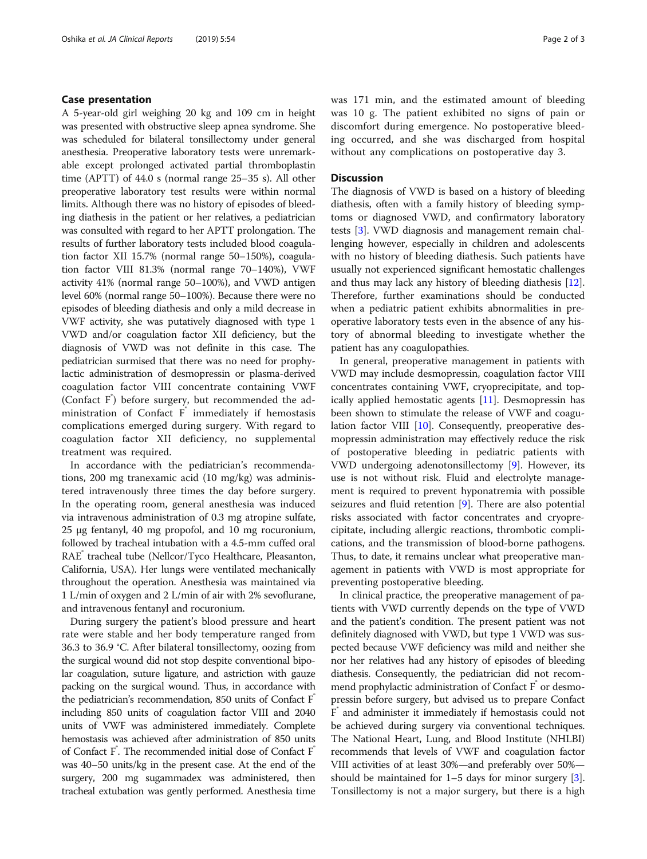#### Case presentation

A 5-year-old girl weighing 20 kg and 109 cm in height was presented with obstructive sleep apnea syndrome. She was scheduled for bilateral tonsillectomy under general anesthesia. Preoperative laboratory tests were unremarkable except prolonged activated partial thromboplastin time (APTT) of 44.0 s (normal range 25–35 s). All other preoperative laboratory test results were within normal limits. Although there was no history of episodes of bleeding diathesis in the patient or her relatives, a pediatrician was consulted with regard to her APTT prolongation. The results of further laboratory tests included blood coagulation factor XII 15.7% (normal range 50–150%), coagulation factor VIII 81.3% (normal range 70–140%), VWF activity 41% (normal range 50–100%), and VWD antigen level 60% (normal range 50–100%). Because there were no episodes of bleeding diathesis and only a mild decrease in VWF activity, she was putatively diagnosed with type 1 VWD and/or coagulation factor XII deficiency, but the diagnosis of VWD was not definite in this case. The pediatrician surmised that there was no need for prophylactic administration of desmopressin or plasma-derived coagulation factor VIII concentrate containing VWF (Confact F<sup>®</sup>) before surgery, but recommended the administration of Confact  $F^*$  immediately if hemostasis complications emerged during surgery. With regard to coagulation factor XII deficiency, no supplemental treatment was required.

In accordance with the pediatrician's recommendations, 200 mg tranexamic acid (10 mg/kg) was administered intravenously three times the day before surgery. In the operating room, general anesthesia was induced via intravenous administration of 0.3 mg atropine sulfate, 25 μg fentanyl, 40 mg propofol, and 10 mg rocuronium, followed by tracheal intubation with a 4.5-mm cuffed oral RAE® tracheal tube (Nellcor/Tyco Healthcare, Pleasanton, California, USA). Her lungs were ventilated mechanically throughout the operation. Anesthesia was maintained via 1 L/min of oxygen and 2 L/min of air with 2% sevoflurane, and intravenous fentanyl and rocuronium.

During surgery the patient's blood pressure and heart rate were stable and her body temperature ranged from 36.3 to 36.9 °C. After bilateral tonsillectomy, oozing from the surgical wound did not stop despite conventional bipolar coagulation, suture ligature, and astriction with gauze packing on the surgical wound. Thus, in accordance with the pediatrician's recommendation, 850 units of Confact F® including 850 units of coagulation factor VIII and 2040 units of VWF was administered immediately. Complete hemostasis was achieved after administration of 850 units of Confact  $F^*$ . The recommended initial dose of Confact  $F^*$ was 40–50 units/kg in the present case. At the end of the surgery, 200 mg sugammadex was administered, then tracheal extubation was gently performed. Anesthesia time was 171 min, and the estimated amount of bleeding was 10 g. The patient exhibited no signs of pain or discomfort during emergence. No postoperative bleeding occurred, and she was discharged from hospital without any complications on postoperative day 3.

#### **Discussion**

The diagnosis of VWD is based on a history of bleeding diathesis, often with a family history of bleeding symptoms or diagnosed VWD, and confirmatory laboratory tests [[3\]](#page-2-0). VWD diagnosis and management remain challenging however, especially in children and adolescents with no history of bleeding diathesis. Such patients have usually not experienced significant hemostatic challenges and thus may lack any history of bleeding diathesis [\[12](#page-2-0)]. Therefore, further examinations should be conducted when a pediatric patient exhibits abnormalities in preoperative laboratory tests even in the absence of any history of abnormal bleeding to investigate whether the patient has any coagulopathies.

In general, preoperative management in patients with VWD may include desmopressin, coagulation factor VIII concentrates containing VWF, cryoprecipitate, and topically applied hemostatic agents [[11](#page-2-0)]. Desmopressin has been shown to stimulate the release of VWF and coagulation factor VIII  $[10]$  $[10]$  $[10]$ . Consequently, preoperative desmopressin administration may effectively reduce the risk of postoperative bleeding in pediatric patients with VWD undergoing adenotonsillectomy [\[9](#page-2-0)]. However, its use is not without risk. Fluid and electrolyte management is required to prevent hyponatremia with possible seizures and fluid retention [\[9](#page-2-0)]. There are also potential risks associated with factor concentrates and cryoprecipitate, including allergic reactions, thrombotic complications, and the transmission of blood-borne pathogens. Thus, to date, it remains unclear what preoperative management in patients with VWD is most appropriate for preventing postoperative bleeding.

In clinical practice, the preoperative management of patients with VWD currently depends on the type of VWD and the patient's condition. The present patient was not definitely diagnosed with VWD, but type 1 VWD was suspected because VWF deficiency was mild and neither she nor her relatives had any history of episodes of bleeding diathesis. Consequently, the pediatrician did not recommend prophylactic administration of Confact  $F^{\dagger}$  or desmopressin before surgery, but advised us to prepare Confact F and administer it immediately if hemostasis could not be achieved during surgery via conventional techniques. The National Heart, Lung, and Blood Institute (NHLBI) recommends that levels of VWF and coagulation factor VIII activities of at least 30%—and preferably over 50% should be maintained for  $1-5$  days for minor surgery  $[3]$  $[3]$  $[3]$ . Tonsillectomy is not a major surgery, but there is a high